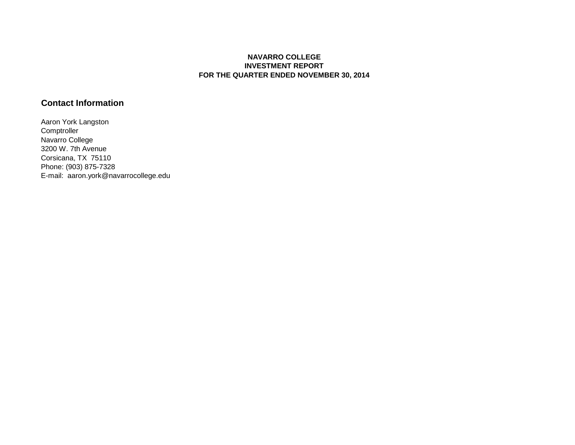## **NAVARRO COLLEGE INVESTMENT REPORT FOR THE QUARTER ENDED NOVEMBER 30, 2014**

# **Contact Information**

Aaron York Langston **Comptroller** Navarro College 3200 W. 7th Avenue Corsicana, TX 75110 Phone: (903) 875-7328 E-mail: aaron.york@navarrocollege.edu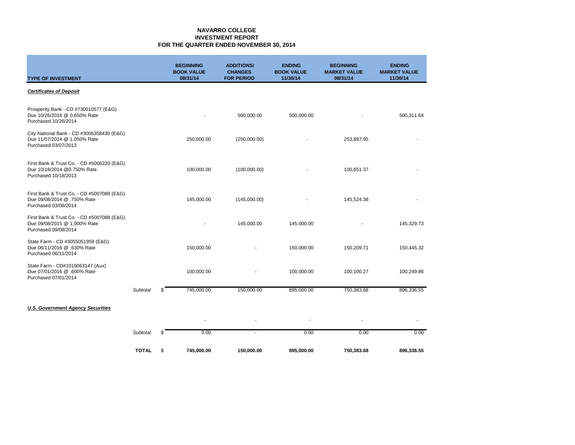#### **NAVARRO COLLEGE INVESTMENT REPORT FOR THE QUARTER ENDED NOVEMBER 30, 2014**

| <b>TYPE OF INVESTMENT</b>                                                                          |                 | <b>BEGINNING</b><br><b>BOOK VALUE</b><br>08/31/14 | <b>ADDITIONS/</b><br><b>CHANGES</b><br><b>FOR PERIOD</b> | <b>ENDING</b><br><b>BOOK VALUE</b><br>11/30/14 | <b>BEGINNING</b><br><b>MARKET VALUE</b><br>08/31/14 | <b>ENDING</b><br><b>MARKET VALUE</b><br>11/30/14 |
|----------------------------------------------------------------------------------------------------|-----------------|---------------------------------------------------|----------------------------------------------------------|------------------------------------------------|-----------------------------------------------------|--------------------------------------------------|
| <b>Certificates of Deposit</b>                                                                     |                 |                                                   |                                                          |                                                |                                                     |                                                  |
| Prosperity Bank - CD #730010577 (E&G)<br>Due 10/26/2016 @ 0.650% Rate<br>Purchased 10/26/2014      |                 | $\blacksquare$                                    | 500,000.00                                               | 500,000.00                                     |                                                     | 500,311.64                                       |
| City National Bank - CD #3006358430 (E&G)<br>Due 11/07/2014 @ 1.050% Rate<br>Purchased 03/07/2013  |                 | 250,000.00                                        | (250,000.00)                                             |                                                | 253,897.95                                          |                                                  |
| First Bank & Trust Co. - CD #5006220 (E&G)<br>Due 10/18/2014 @0.750% Rate<br>Purchased 10/18/2013  |                 | 100,000.00                                        | (100,000.00)                                             |                                                | 100,651.37                                          |                                                  |
| First Bank & Trust Co. - CD #5007088 (E&G)<br>Due 09/08/2014 @ .750% Rate<br>Purchased 03/08/2014  |                 | 145,000.00                                        | (145,000.00)                                             |                                                | 145,524.38                                          |                                                  |
| First Bank & Trust Co. - CD #5007088 (E&G)<br>Due 09/08/2015 @ 1.000% Rate<br>Purchased 09/08/2014 |                 |                                                   | 145,000.00                                               | 145,000.00                                     |                                                     | 145,329.73                                       |
| State Farm - CD #3055051959 (E&G)<br>Due 06/11/2016 @ .630% Rate<br>Purchased 06/11/2014           |                 | 150,000.00                                        |                                                          | 150,000.00                                     | 150,209.71                                          | 150,445.32                                       |
| State Farm - CD#1019063147 (Aux)<br>Due 07/01/2016 @ .600% Rate<br>Purchased 07/01/2014            |                 | 100,000.00                                        |                                                          | 100,000.00                                     | 100,100.27                                          | 100,249.86                                       |
|                                                                                                    | <b>Subtotal</b> | \$<br>745,000.00                                  | 150,000.00                                               | 895.000.00                                     | 750,383.68                                          | 896,336.55                                       |
| <b>U.S. Government Agency Securities</b>                                                           |                 |                                                   |                                                          |                                                |                                                     |                                                  |
|                                                                                                    |                 | $\blacksquare$                                    |                                                          |                                                | ä,                                                  |                                                  |
|                                                                                                    | <b>Subtotal</b> | 0.00                                              |                                                          | 0.00                                           | 0.00                                                | 0.00                                             |

**TOTAL** \$ **745,000.00 150,000.00 895,000.00 750,383.68 896,336.55**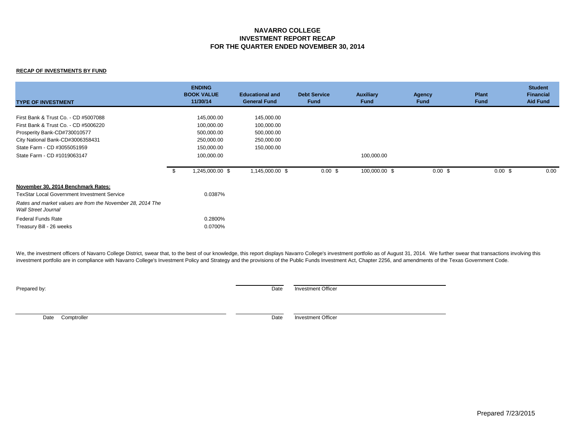### **NAVARRO COLLEGE INVESTMENT REPORT RECAP FOR THE QUARTER ENDED NOVEMBER 30, 2014**

#### **RECAP OF INVESTMENTS BY FUND**

| <b>TYPE OF INVESTMENT</b>                                                                                    | <b>ENDING</b><br><b>BOOK VALUE</b><br>11/30/14 | <b>Educational and</b><br><b>General Fund</b> | <b>Debt Service</b><br><b>Fund</b> | <b>Auxiliary</b><br><b>Fund</b> | <b>Agency</b><br><b>Fund</b> | <b>Plant</b><br><b>Fund</b> | <b>Student</b><br><b>Financial</b><br><b>Aid Fund</b> |
|--------------------------------------------------------------------------------------------------------------|------------------------------------------------|-----------------------------------------------|------------------------------------|---------------------------------|------------------------------|-----------------------------|-------------------------------------------------------|
| First Bank & Trust Co. - CD #5007088<br>First Bank & Trust Co. - CD #5006220<br>Prosperity Bank-CD#730010577 | 145,000.00<br>100,000.00<br>500,000.00         | 145,000.00<br>100,000.00<br>500,000.00        |                                    |                                 |                              |                             |                                                       |
| City National Bank-CD#3006358431<br>State Farm - CD #3055051959<br>State Farm - CD #1019063147               | 250,000.00<br>150,000.00<br>100,000.00         | 250,000.00<br>150,000.00                      |                                    | 100,000.00                      |                              |                             |                                                       |
|                                                                                                              | 1,245,000.00 \$                                | 1,145,000.00 \$                               | $0.00 \text{ }$ \$                 | 100,000.00 \$                   | $0.00 \text{ }$ \$           | $0.00 \text{ }$ \$          | 0.00                                                  |
| November 30, 2014 Benchmark Rates:<br><b>TexStar Local Government Investment Service</b>                     | 0.0387%                                        |                                               |                                    |                                 |                              |                             |                                                       |
| Rates and market values are from the November 28, 2014 The<br>Wall Street Journal                            |                                                |                                               |                                    |                                 |                              |                             |                                                       |
| <b>Federal Funds Rate</b><br>Treasury Bill - 26 weeks                                                        | 0.2800%<br>0.0700%                             |                                               |                                    |                                 |                              |                             |                                                       |

We, the investment officers of Navarro College District, swear that, to the best of our knowledge, this report displays Navarro College's investment portfolio as of August 31, 2014. We further swear that transactions invol investment portfolio are in compliance with Navarro College's Investment Policy and Strategy and the provisions of the Public Funds Investment Act, Chapter 2256, and amendments of the Texas Government Code.

**Prepared by:** Date Investment Officer

Date Comptroller **Date** Investment Officer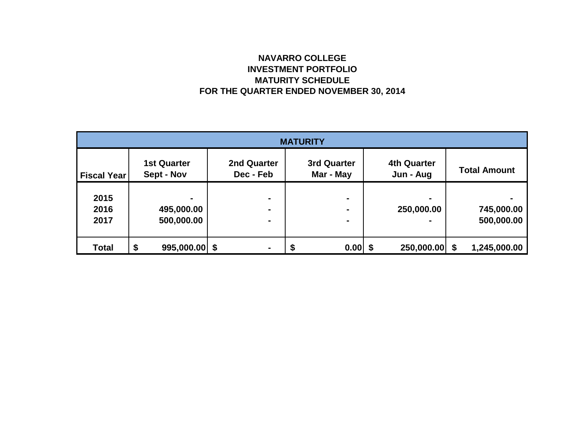# **NAVARRO COLLEGE INVESTMENT PORTFOLIO MATURITY SCHEDULE FOR THE QUARTER ENDED NOVEMBER 30, 2014**

| <b>MATURITY</b>      |                                  |                                       |                                 |                                 |                          |  |  |  |
|----------------------|----------------------------------|---------------------------------------|---------------------------------|---------------------------------|--------------------------|--|--|--|
| <b>Fiscal Year</b>   | <b>1st Quarter</b><br>Sept - Nov | 2nd Quarter<br>Dec - Feb              | <b>3rd Quarter</b><br>Mar - May | <b>4th Quarter</b><br>Jun - Aug | <b>Total Amount</b>      |  |  |  |
| 2015<br>2016<br>2017 | ۰<br>495,000.00<br>500,000.00    | $\blacksquare$<br>$\blacksquare$<br>۰ | $\blacksquare$                  | 250,000.00                      | 745,000.00<br>500,000.00 |  |  |  |
| <b>Total</b>         | \$<br>$995,000.00$ \$            | $\blacksquare$                        | $0.00$ \$                       | 250,000.00 \$                   | 1,245,000.00             |  |  |  |